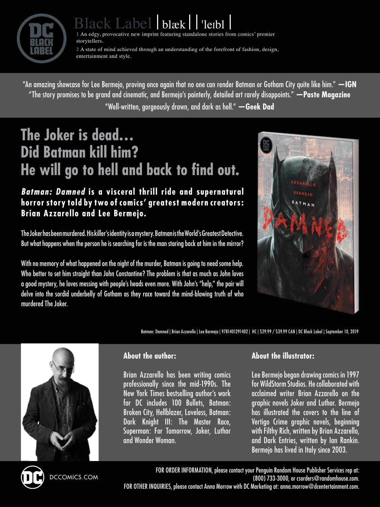

# ack Label blæk | 'leibl

**1** An edgy, provocative new imprint featuring standalone stories from comics' premier storytellers.

**2** A state of mind achieved through an understanding of the forefront of fashion, design, entertainment and style.

"An amazing showcase for Lee Bermejo, proving once again that no one can render Batman or Gotham City quite like him." **—IGN**  "The story promises to be grand and cinematic, and Bermejo's painterly, detailed art rarely disappoints." **—Paste Magazine** "Well-written, gorgeously drawn, and dark as hell." **—Geek Dad**

# **The Joker is dead… Did Batman kill him? He will go to hell and back to find out.**

#### *Batman: Damned* **is a visceral thrill ride and supernatural horror story told by two of comics' greatest modern creators: Brian Azzarello and Lee Bermejo.**

The Joker has been murdered. His killer's identity is a mystery. Batman is the World's Greatest Detective. But what happens when the person he is searching for is the man staring back at him in the mirror?

With no memory of what happened on the night of the murder, Batman is going to need some help. Who better to set him straight than John Constantine? The problem is that as much as John loves a good mystery, he loves messing with people's heads even more. With John's "help," the pair will delve into the sordid underbelly of Gotham as they race toward the mind-blowing truth of who murdered The Joker.



Batman: Damned | Brian Azzarello | Lee Bermejo | 9781401291402 | HC | \$29.99 / \$39.99 CAN | DC Black Label | September 10, 2019



#### **About the author:**

Brian Azzarello has been writing comics professionally since the mid-1990s. The New York Times bestselling author's work for DC includes 100 Bullets, Batman: Broken City, Hellblazer, Loveless, Batman: Dark Knight III: The Master Race, Superman: For Tomorrow, Joker, Luthor and Wonder Woman.

#### **About the illustrator:**

Lee Bermejo began drawing comics in 1997 for WildStorm Studios. He collaborated with acclaimed writer Brian Azzarello on the graphic novels Joker and Luthor. Bermejo has illustrated the covers to the line of Vertigo Crime graphic novels, beginning with Filthy Rich, written by Brian Azzarello, and Dark Entries, written by Ian Rankin. Bermejo has lived in Italy since 2003.



DCCOMICS.COM

FOR ORDER INFORMATION, please contact your Penguin Random House Publisher Services rep at: (800) 733-3000, or [csorders@randomhouse.com](mailto:csorders@randomhouse.com). FOR OTHER INQUIRIES, please contact Anna Morrow with DC Marketing at: [anna.morrow@dcentertainment.com](mailto:anna.morrow@dcentertainment.com).